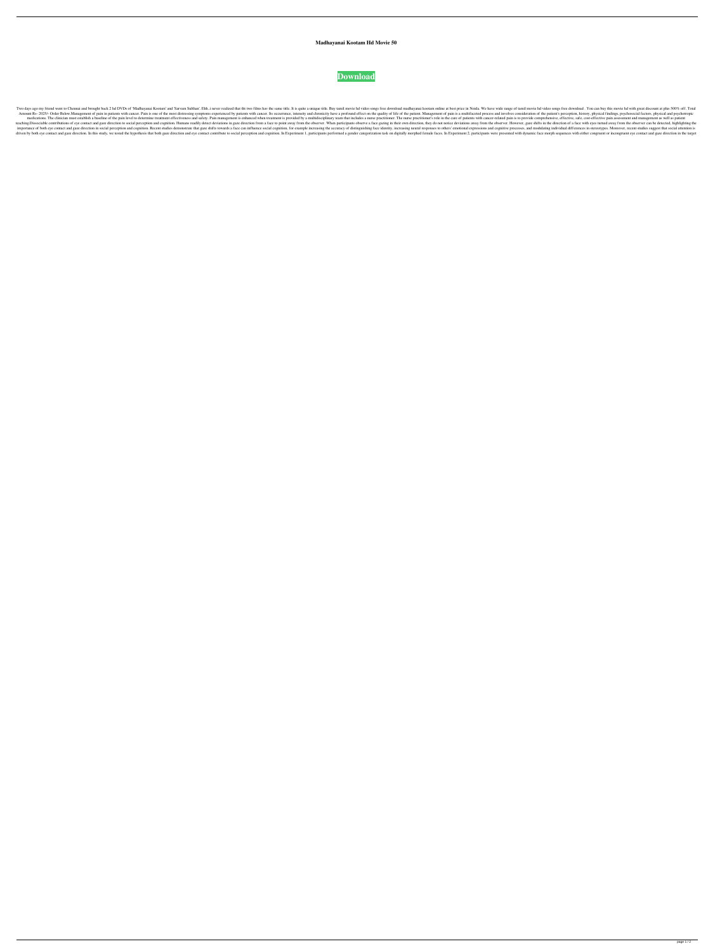## **Madhayanai Kootam Hd Movie 50**

## **[Download](http://evacdir.com/bWFkaGF5YW5haSBrb290YW0gaGQgbW92aWUgNTAbWF/creosote/bugging/cyan/panettone/&huinink=kamut&polka=ZG93bmxvYWR8ZU40ZFdaNWZId3hOalV5TnpRd09EWTJmSHd5TlRjMGZId29UU2tnY21WaFpDMWliRzluSUZ0R1lYTjBJRWRGVGww)**

Two days ago my friend went to Chennai and brought back 2 hd DVDs of 'Madhayanai Kootam' and 'Sarvam Sulthan'. Ehh..i never realized that tht two films hav the same title. It is quite a unique title. Buy tamil movie hd vid Amount Rs- 2025/- Order Below.Management of pain in patients with cancer. Pain is one of the most distressing symptoms experienced by patients with cancer. Its occurrence, intensity and chronicity have a profound effect on medications. The clinician must establish a baseline of the pain level to determine treatment effectiveness and safety. Pain management is enhanced when treatment is provided by a multidisciplinary team that includes a nur teaching.Dissociable contributions of eye contact and gaze direction to social perception and cognition. Humans readily detect deviations in gaze direction from a face to point away from the observer. When participants obs importance of both eye contact and gaze direction in social perception and cognition. Recent studies demonstrate that gaze shifts towards a face can influence social cognition, for example increasing the accuracy of distin driven by both eye contact and gaze direction. In this study, we tested the hypothesis that both gaze direction and eye contact contribute to social perception and cognition. In Experiment 1, participants performed a gende